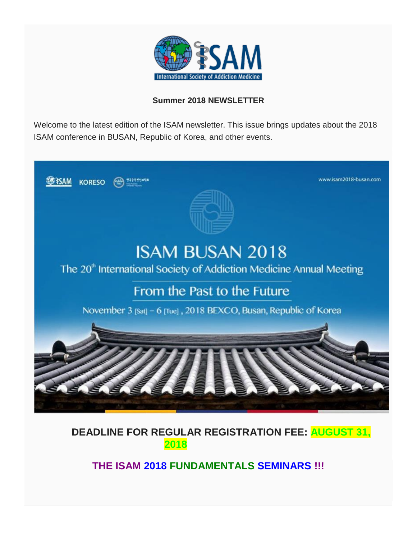

### **Summer 2018 NEWSLETTER**

Welcome to the latest edition of the ISAM newsletter. This issue brings updates about the 2018 ISAM conference in BUSAN, Republic of Korea, and other events.



 **DEADLINE FOR REGULAR REGISTRATION FEE: AUGUST 31, 2018**

**THE ISAM 2018 FUNDAMENTALS SEMINARS !!!**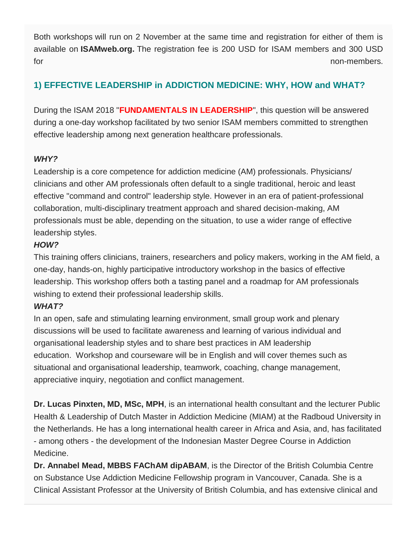Both workshops will run on 2 November at the same time and registration for either of them is available on **ISAMweb.org.** The registration fee is 200 USD for ISAM members and 300 USD for non-members.

# **1) EFFECTIVE LEADERSHIP in ADDICTION MEDICINE: WHY, HOW and WHAT?**

During the ISAM 2018 "**FUNDAMENTALS IN LEADERSHIP**", this question will be answered during a one-day workshop facilitated by two senior ISAM members committed to strengthen effective leadership among next generation healthcare professionals.

### *WHY?*

Leadership is a core competence for addiction medicine (AM) professionals. Physicians/ clinicians and other AM professionals often default to a single traditional, heroic and least effective "command and control" leadership style. However in an era of patient-professional collaboration, multi-disciplinary treatment approach and shared decision-making, AM professionals must be able, depending on the situation, to use a wider range of effective leadership styles.

### *HOW?*

This training offers clinicians, trainers, researchers and policy makers, working in the AM field, a one-day, hands-on, highly participative introductory workshop in the basics of effective leadership. This workshop offers both a tasting panel and a roadmap for AM professionals wishing to extend their professional leadership skills.

## *WHAT?*

In an open, safe and stimulating learning environment, small group work and plenary discussions will be used to facilitate awareness and learning of various individual and organisational leadership styles and to share best practices in AM leadership education. Workshop and courseware will be in English and will cover themes such as situational and organisational leadership, teamwork, coaching, change management, appreciative inquiry, negotiation and conflict management.

**Dr. Lucas Pinxten, MD, MSc, MPH**, is an international health consultant and the lecturer Public Health & Leadership of Dutch Master in Addiction Medicine (MIAM) at the Radboud University in the Netherlands. He has a long international health career in Africa and Asia, and, has facilitated - among others - the development of the Indonesian Master Degree Course in Addiction Medicine.

**Dr. Annabel Mead, MBBS FAChAM dipABAM**, is the Director of the British Columbia Centre on Substance Use Addiction Medicine Fellowship program in Vancouver, Canada. She is a Clinical Assistant Professor at the University of British Columbia, and has extensive clinical and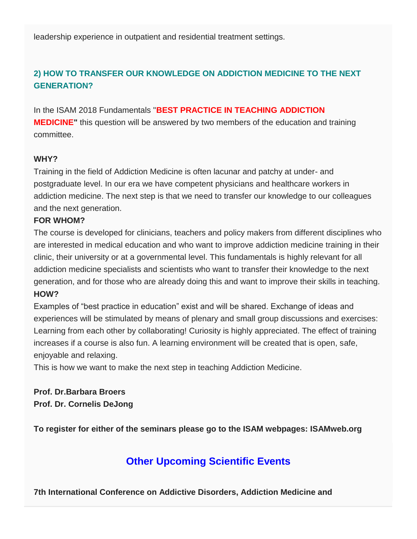leadership experience in outpatient and residential treatment settings.

## **2) HOW TO TRANSFER OUR KNOWLEDGE ON ADDICTION MEDICINE TO THE NEXT GENERATION?**

In the ISAM 2018 Fundamentals "**BEST PRACTICE IN TEACHING ADDICTION MEDICINE"** this question will be answered by two members of the education and training committee.

#### **WHY?**

Training in the field of Addiction Medicine is often lacunar and patchy at under- and postgraduate level. In our era we have competent physicians and healthcare workers in addiction medicine. The next step is that we need to transfer our knowledge to our colleagues and the next generation.

#### **FOR WHOM?**

The course is developed for clinicians, teachers and policy makers from different disciplines who are interested in medical education and who want to improve addiction medicine training in their clinic, their university or at a governmental level. This fundamentals is highly relevant for all addiction medicine specialists and scientists who want to transfer their knowledge to the next generation, and for those who are already doing this and want to improve their skills in teaching. **HOW?**

Examples of "best practice in education" exist and will be shared. Exchange of ideas and experiences will be stimulated by means of plenary and small group discussions and exercises: Learning from each other by collaborating! Curiosity is highly appreciated. The effect of training increases if a course is also fun. A learning environment will be created that is open, safe, enjoyable and relaxing.

This is how we want to make the next step in teaching Addiction Medicine.

**Prof. Dr.Barbara Broers Prof. Dr. Cornelis DeJong**

**To register for either of the seminars please go to the ISAM webpages: ISAMweb.org**

# **Other Upcoming Scientific Events**

**7th International Conference on Addictive Disorders, Addiction Medicine and**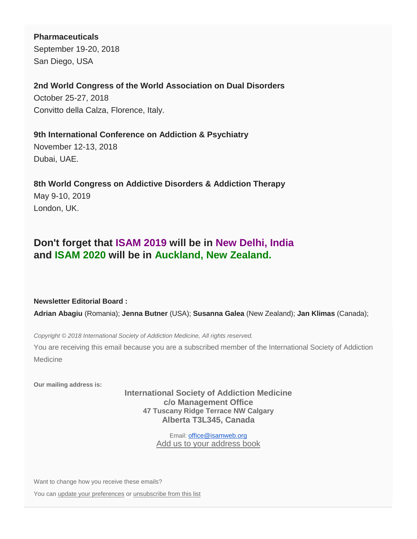**Pharmaceuticals**

September 19-20, 2018 San Diego, USA

**2nd World Congress of the World Association on Dual Disorders**

October 25-27, 2018 Convitto della Calza, Florence, Italy.

**9th International Conference on Addiction & Psychiatry**

November 12-13, 2018 Dubai, UAE.

**8th World Congress on Addictive Disorders & Addiction Therapy** May 9-10, 2019 London, UK.

# **Don't forget that ISAM 2019 will be in New Delhi, India and ISAM 2020 will be in Auckland, New Zealand.**

**Newsletter Editorial Board :**

**Adrian Abagiu** (Romania); **Jenna Butner** (USA); **Susanna Galea** (New Zealand); **Jan Klimas** (Canada);

*Copyright © 2018 International Society of Addiction Medicine, All rights reserved.*

You are receiving this email because you are a subscribed member of the International Society of Addiction Medicine

**Our mailing address is:**

**International Society of Addiction Medicine c/o Management Office 47 Tuscany Ridge Terrace NW Calgary Alberta T3L345, Canada**

> Email: [office@isamweb.org](mailto:office@isamweb.org) [Add us to your address book](http://isamweb.us12.list-manage.com/vcard?u=a73ea8b19b4d7f762faae5475&id=4f4a1eab4c)

Want to change how you receive these emails?

You can [update your preferences](http://isamweb.us12.list-manage1.com/profile?u=a73ea8b19b4d7f762faae5475&id=4f4a1eab4c&e=%5bUNIQID%5d) or [unsubscribe from this list](http://isamweb.us12.list-manage.com/unsubscribe?u=a73ea8b19b4d7f762faae5475&id=4f4a1eab4c&e=%5bUNIQID%5d&c=de11362b3e)